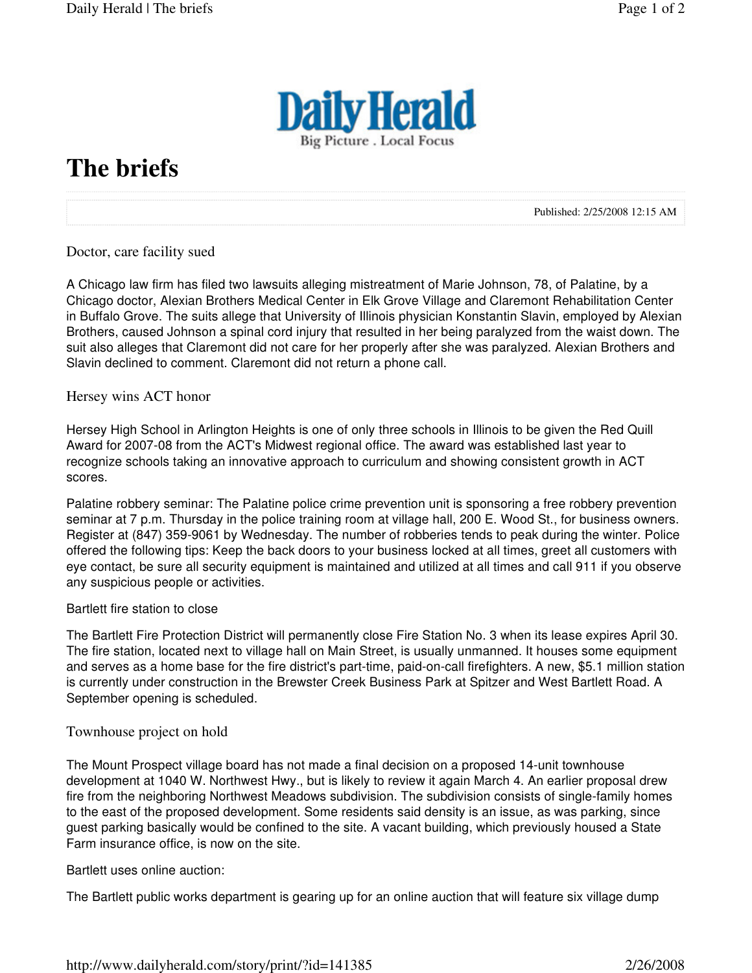

# **The briefs**

Published: 2/25/2008 12:15 AM

## Doctor, care facility sued

A Chicago law firm has filed two lawsuits alleging mistreatment of Marie Johnson, 78, of Palatine, by a Chicago doctor, Alexian Brothers Medical Center in Elk Grove Village and Claremont Rehabilitation Center in Buffalo Grove. The suits allege that University of Illinois physician Konstantin Slavin, employed by Alexian Brothers, caused Johnson a spinal cord injury that resulted in her being paralyzed from the waist down. The suit also alleges that Claremont did not care for her properly after she was paralyzed. Alexian Brothers and Slavin declined to comment. Claremont did not return a phone call.

### Hersey wins ACT honor

Hersey High School in Arlington Heights is one of only three schools in Illinois to be given the Red Quill Award for 2007-08 from the ACT's Midwest regional office. The award was established last year to recognize schools taking an innovative approach to curriculum and showing consistent growth in ACT scores.

Palatine robbery seminar: The Palatine police crime prevention unit is sponsoring a free robbery prevention seminar at 7 p.m. Thursday in the police training room at village hall, 200 E. Wood St., for business owners. Register at (847) 359-9061 by Wednesday. The number of robberies tends to peak during the winter. Police offered the following tips: Keep the back doors to your business locked at all times, greet all customers with eye contact, be sure all security equipment is maintained and utilized at all times and call 911 if you observe any suspicious people or activities.

### Bartlett fire station to close

The Bartlett Fire Protection District will permanently close Fire Station No. 3 when its lease expires April 30. The fire station, located next to village hall on Main Street, is usually unmanned. It houses some equipment and serves as a home base for the fire district's part-time, paid-on-call firefighters. A new, \$5.1 million station is currently under construction in the Brewster Creek Business Park at Spitzer and West Bartlett Road. A September opening is scheduled.

### Townhouse project on hold

The Mount Prospect village board has not made a final decision on a proposed 14-unit townhouse development at 1040 W. Northwest Hwy., but is likely to review it again March 4. An earlier proposal drew fire from the neighboring Northwest Meadows subdivision. The subdivision consists of single-family homes to the east of the proposed development. Some residents said density is an issue, as was parking, since guest parking basically would be confined to the site. A vacant building, which previously housed a State Farm insurance office, is now on the site.

### Bartlett uses online auction:

The Bartlett public works department is gearing up for an online auction that will feature six village dump